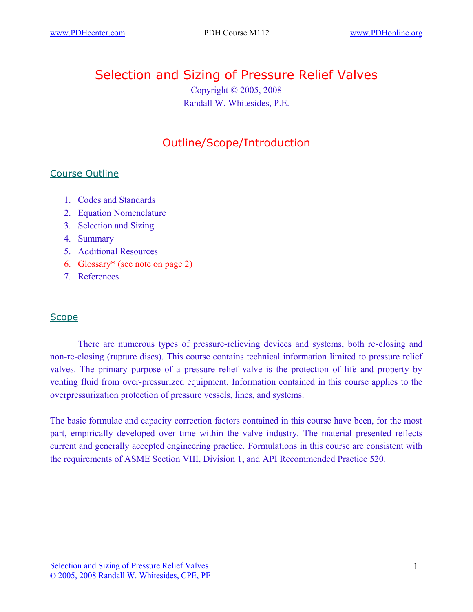# Selection and Sizing of Pressure Relief Valves

Copyright © 2005, 2008 Randall W. Whitesides, P.E.

## Outline/Scope/Introduction

## Course Outline

- 1. Codes and Standards
- 2. Equation Nomenclature
- 3. Selection and Sizing
- 4. Summary
- 5. Additional Resources
- 6. Glossary\* (see note on page 2)
- 7. References

## **Scope**

There are numerous types of pressure-relieving devices and systems, both re-closing and non-re-closing (rupture discs). This course contains technical information limited to pressure relief valves. The primary purpose of a pressure relief valve is the protection of life and property by venting fluid from over-pressurized equipment. Information contained in this course applies to the overpressurization protection of pressure vessels, lines, and systems.

The basic formulae and capacity correction factors contained in this course have been, for the most part, empirically developed over time within the valve industry. The material presented reflects current and generally accepted engineering practice. Formulations in this course are consistent with the requirements of ASME Section VIII, Division 1, and API Recommended Practice 520.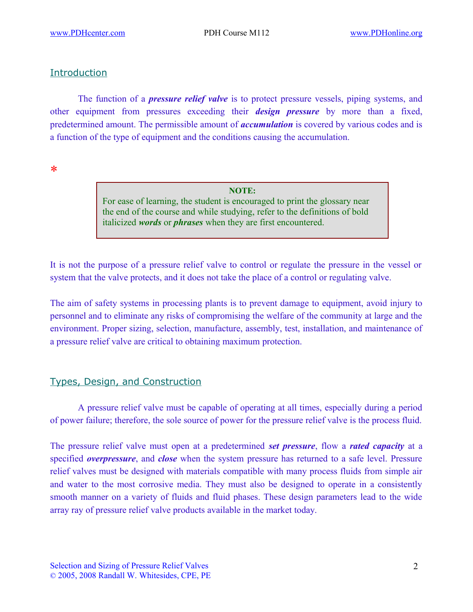## Introduction

The function of a *pressure relief valve* is to protect pressure vessels, piping systems, and other equipment from pressures exceeding their *design pressure* by more than a fixed, predetermined amount. The permissible amount of *accumulation* is covered by various codes and is a function of the type of equipment and the conditions causing the accumulation.

\*

**NOTE:** For ease of learning, the student is encouraged to print the glossary near the end of the course and while studying, refer to the definitions of bold italicized *words* or *phrases* when they are first encountered.

It is not the purpose of a pressure relief valve to control or regulate the pressure in the vessel or system that the valve protects, and it does not take the place of a control or regulating valve.

The aim of safety systems in processing plants is to prevent damage to equipment, avoid injury to personnel and to eliminate any risks of compromising the welfare of the community at large and the environment. Proper sizing, selection, manufacture, assembly, test, installation, and maintenance of a pressure relief valve are critical to obtaining maximum protection.

## Types, Design, and Construction

A pressure relief valve must be capable of operating at all times, especially during a period of power failure; therefore, the sole source of power for the pressure relief valve is the process fluid.

The pressure relief valve must open at a predetermined *set pressure*, flow a *rated capacity* at a specified *overpressure*, and *close* when the system pressure has returned to a safe level. Pressure relief valves must be designed with materials compatible with many process fluids from simple air and water to the most corrosive media. They must also be designed to operate in a consistently smooth manner on a variety of fluids and fluid phases. These design parameters lead to the wide array ray of pressure relief valve products available in the market today.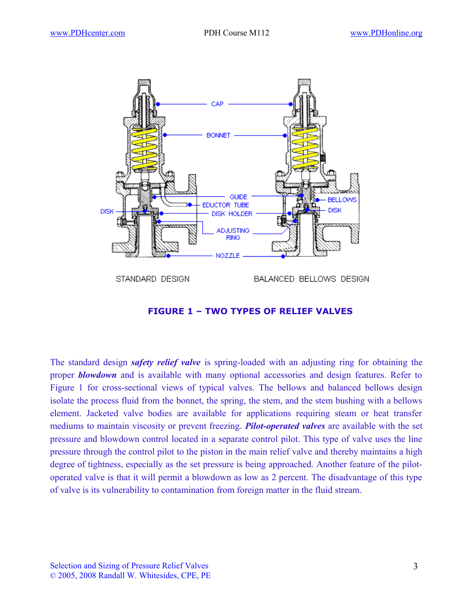

### **FIGURE 1 – TWO TYPES OF RELIEF VALVES**

The standard design *safety relief valve* is spring-loaded with an adjusting ring for obtaining the proper *blowdown* and is available with many optional accessories and design features. Refer to Figure 1 for cross-sectional views of typical valves. The bellows and balanced bellows design isolate the process fluid from the bonnet, the spring, the stem, and the stem bushing with a bellows element. Jacketed valve bodies are available for applications requiring steam or heat transfer mediums to maintain viscosity or prevent freezing. *Pilot-operated valves* are available with the set pressure and blowdown control located in a separate control pilot. This type of valve uses the line pressure through the control pilot to the piston in the main relief valve and thereby maintains a high degree of tightness, especially as the set pressure is being approached. Another feature of the pilotoperated valve is that it will permit a blowdown as low as 2 percent. The disadvantage of this type of valve is its vulnerability to contamination from foreign matter in the fluid stream.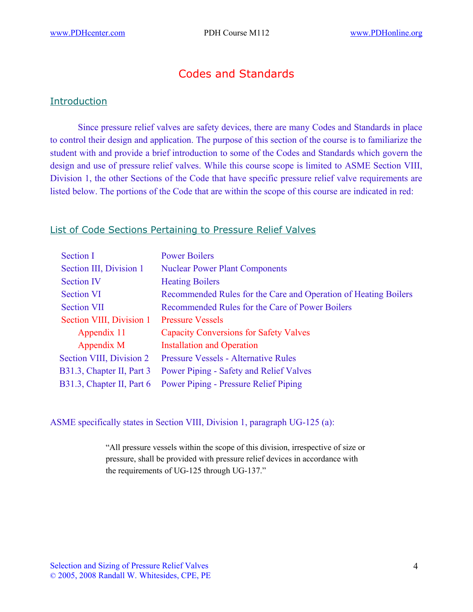## Codes and Standards

#### **Introduction**

Since pressure relief valves are safety devices, there are many Codes and Standards in place to control their design and application. The purpose of this section of the course is to familiarize the student with and provide a brief introduction to some of the Codes and Standards which govern the design and use of pressure relief valves. While this course scope is limited to ASME Section VIII, Division 1, the other Sections of the Code that have specific pressure relief valve requirements are listed below. The portions of the Code that are within the scope of this course are indicated in red:

#### List of Code Sections Pertaining to Pressure Relief Valves

| <b>Section I</b>          | <b>Power Boilers</b>                                            |
|---------------------------|-----------------------------------------------------------------|
| Section III, Division 1   | <b>Nuclear Power Plant Components</b>                           |
| <b>Section IV</b>         | <b>Heating Boilers</b>                                          |
| <b>Section VI</b>         | Recommended Rules for the Care and Operation of Heating Boilers |
| <b>Section VII</b>        | Recommended Rules for the Care of Power Boilers                 |
| Section VIII, Division 1  | <b>Pressure Vessels</b>                                         |
| Appendix 11               | <b>Capacity Conversions for Safety Valves</b>                   |
| Appendix M                | <b>Installation and Operation</b>                               |
| Section VIII, Division 2  | <b>Pressure Vessels - Alternative Rules</b>                     |
| B31.3, Chapter II, Part 3 | <b>Power Piping - Safety and Relief Valves</b>                  |
| B31.3, Chapter II, Part 6 | <b>Power Piping - Pressure Relief Piping</b>                    |

#### ASME specifically states in Section VIII, Division 1, paragraph UG-125 (a):

"All pressure vessels within the scope of this division, irrespective of size or pressure, shall be provided with pressure relief devices in accordance with the requirements of UG-125 through UG-137."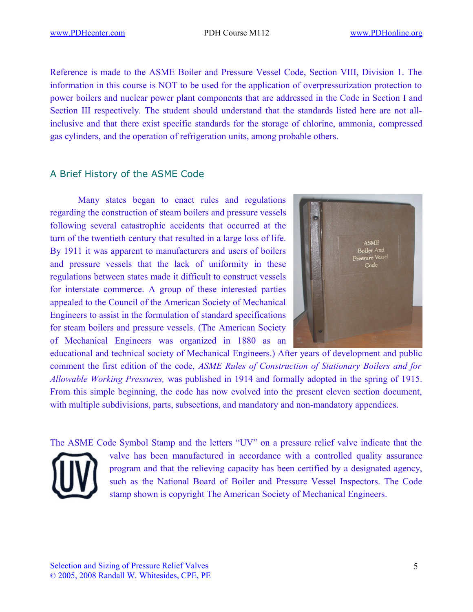Reference is made to the ASME Boiler and Pressure Vessel Code, Section VIII, Division 1. The information in this course is NOT to be used for the application of overpressurization protection to power boilers and nuclear power plant components that are addressed in the Code in Section I and Section III respectively. The student should understand that the standards listed here are not allinclusive and that there exist specific standards for the storage of chlorine, ammonia, compressed gas cylinders, and the operation of refrigeration units, among probable others.

### A Brief History of the ASME Code

Many states began to enact rules and regulations regarding the construction of steam boilers and pressure vessels following several catastrophic accidents that occurred at the turn of the twentieth century that resulted in a large loss of life. By 1911 it was apparent to manufacturers and users of boilers and pressure vessels that the lack of uniformity in these regulations between states made it difficult to construct vessels for interstate commerce. A group of these interested parties appealed to the Council of the American Society of Mechanical Engineers to assist in the formulation of standard specifications for steam boilers and pressure vessels. (The American Society of Mechanical Engineers was organized in 1880 as an



educational and technical society of Mechanical Engineers.) After years of development and public comment the first edition of the code, *ASME Rules of Construction of Stationary Boilers and for Allowable Working Pressures,* was published in 1914 and formally adopted in the spring of 1915. From this simple beginning, the code has now evolved into the present eleven section document, with multiple subdivisions, parts, subsections, and mandatory and non-mandatory appendices.

The ASME Code Symbol Stamp and the letters "UV" on a pressure relief valve indicate that the valve has been manufactured in accordance with a controlled quality assurance program and that the relieving capacity has been certified by a designated agency, such as the National Board of Boiler and Pressure Vessel Inspectors. The Code stamp shown is copyright The American Society of Mechanical Engineers.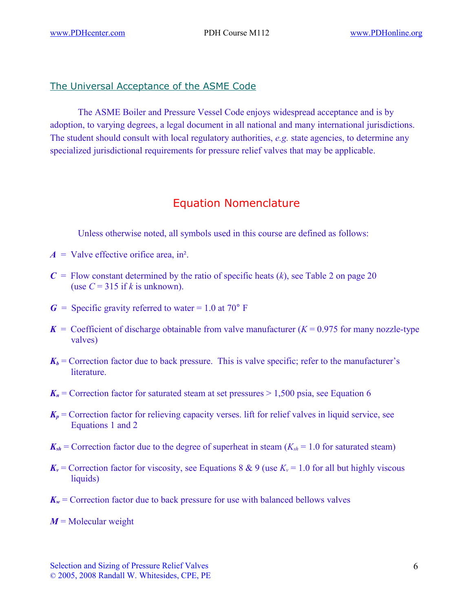## The Universal Acceptance of the ASME Code

The ASME Boiler and Pressure Vessel Code enjoys widespread acceptance and is by adoption, to varying degrees, a legal document in all national and many international jurisdictions. The student should consult with local regulatory authorities, *e.g.* state agencies, to determine any specialized jurisdictional requirements for pressure relief valves that may be applicable.

## Equation Nomenclature

Unless otherwise noted, all symbols used in this course are defined as follows:

- $A =$  Valve effective orifice area, in<sup>2</sup>.
- $C =$  Flow constant determined by the ratio of specific heats  $(k)$ , see Table 2 on page 20 (use  $C = 315$  if *k* is unknown).
- $G =$  Specific gravity referred to water = 1.0 at 70 $^{\circ}$  F
- $K =$  Coefficient of discharge obtainable from valve manufacturer ( $K = 0.975$  for many nozzle-type valves)
- $K_b$  = Correction factor due to back pressure. This is valve specific; refer to the manufacturer's **literature**
- $K_n$  = Correction factor for saturated steam at set pressures  $> 1,500$  psia, see Equation 6
- $K_p$  = Correction factor for relieving capacity verses. lift for relief valves in liquid service, see Equations 1 and 2
- $K_{sh}$  = Correction factor due to the degree of superheat in steam ( $K_{sh}$  = 1.0 for saturated steam)
- $K_v$  = Correction factor for viscosity, see Equations 8 & 9 (use  $K_v$  = 1.0 for all but highly viscous liquids)
- $K_w$  = Correction factor due to back pressure for use with balanced bellows valves
- $M$  = Molecular weight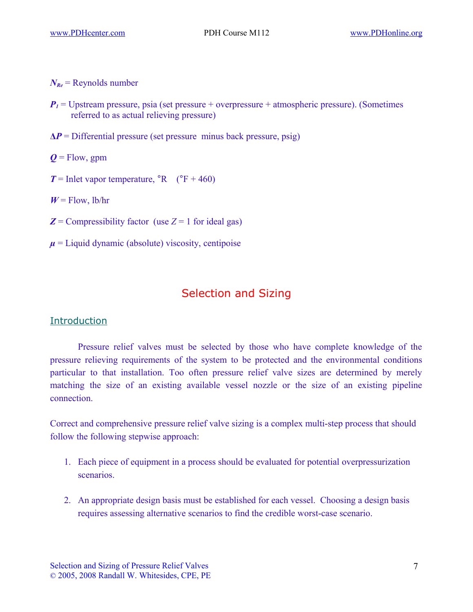$N_{Re}$  = Reynolds number

- $P_1$  = Upstream pressure, psia (set pressure + overpressure + atmospheric pressure). (Sometimes referred to as actual relieving pressure)
- $\Delta P$  = Differential pressure (set pressure minus back pressure, psig)
- $Q =$ Flow, gpm
- $T =$  Inlet vapor temperature,  ${}^{\circ}R$  ( ${}^{\circ}F$  + 460)
- $W =$  Flow, lb/hr
- $Z =$  Compressibility factor (use  $Z = 1$  for ideal gas)
- $\mu$  = Liquid dynamic (absolute) viscosity, centipoise

## Selection and Sizing

#### **Introduction**

Pressure relief valves must be selected by those who have complete knowledge of the pressure relieving requirements of the system to be protected and the environmental conditions particular to that installation. Too often pressure relief valve sizes are determined by merely matching the size of an existing available vessel nozzle or the size of an existing pipeline connection.

Correct and comprehensive pressure relief valve sizing is a complex multi-step process that should follow the following stepwise approach:

- 1. Each piece of equipment in a process should be evaluated for potential overpressurization scenarios.
- 2. An appropriate design basis must be established for each vessel. Choosing a design basis requires assessing alternative scenarios to find the credible worst-case scenario.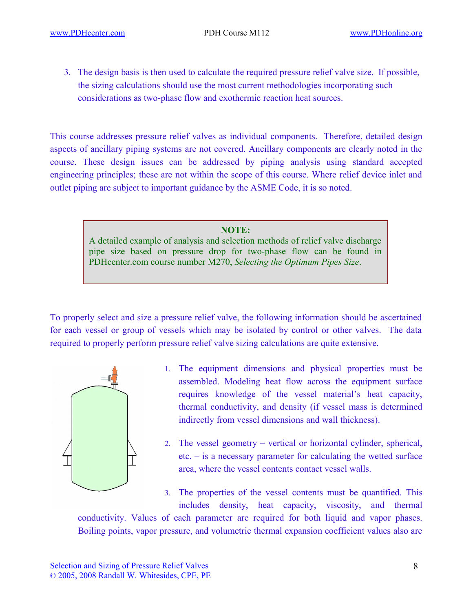3. The design basis is then used to calculate the required pressure relief valve size. If possible, the sizing calculations should use the most current methodologies incorporating such considerations as two-phase flow and exothermic reaction heat sources.

This course addresses pressure relief valves as individual components. Therefore, detailed design aspects of ancillary piping systems are not covered. Ancillary components are clearly noted in the course. These design issues can be addressed by piping analysis using standard accepted engineering principles; these are not within the scope of this course. Where relief device inlet and outlet piping are subject to important guidance by the ASME Code, it is so noted.

#### **NOTE:**

A detailed example of analysis and selection methods of relief valve discharge pipe size based on pressure drop for two-phase flow can be found in PDHcenter.com course number M270, *Selecting the Optimum Pipes Size*.

To properly select and size a pressure relief valve, the following information should be ascertained for each vessel or group of vessels which may be isolated by control or other valves. The data required to properly perform pressure relief valve sizing calculations are quite extensive.



- 1. The equipment dimensions and physical properties must be assembled. Modeling heat flow across the equipment surface requires knowledge of the vessel material's heat capacity, thermal conductivity, and density (if vessel mass is determined indirectly from vessel dimensions and wall thickness).
- 2. The vessel geometry vertical or horizontal cylinder, spherical, etc. – is a necessary parameter for calculating the wetted surface area, where the vessel contents contact vessel walls.

3. The properties of the vessel contents must be quantified. This includes density, heat capacity, viscosity, and thermal

conductivity. Values of each parameter are required for both liquid and vapor phases. Boiling points, vapor pressure, and volumetric thermal expansion coefficient values also are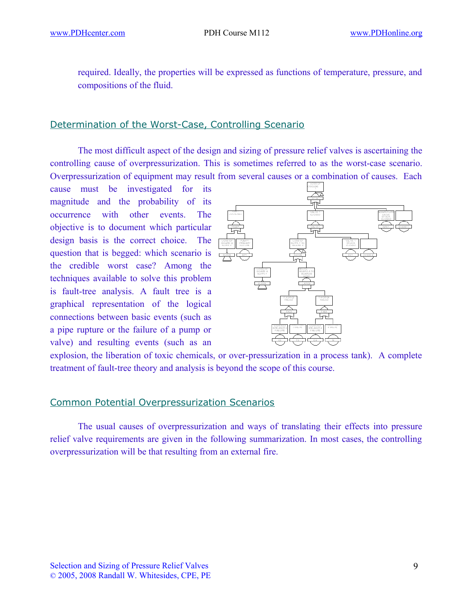required. Ideally, the properties will be expressed as functions of temperature, pressure, and compositions of the fluid.

## Determination of the Worst-Case, Controlling Scenario

The most difficult aspect of the design and sizing of pressure relief valves is ascertaining the controlling cause of overpressurization. This is sometimes referred to as the worst-case scenario. Overpressurization of equipment may result from several causes or a combination of causes. Each

cause must be investigated for its magnitude and the probability of its occurrence with other events. The objective is to document which particular design basis is the correct choice. The question that is begged: which scenario is the credible worst case? Among the techniques available to solve this problem is fault-tree analysis. A fault tree is a graphical representation of the logical connections between basic events (such as a pipe rupture or the failure of a pump or valve) and resulting events (such as an



explosion, the liberation of toxic chemicals, or over-pressurization in a process tank). A complete treatment of fault-tree theory and analysis is beyond the scope of this course.

#### Common Potential Overpressurization Scenarios

The usual causes of overpressurization and ways of translating their effects into pressure relief valve requirements are given in the following summarization. In most cases, the controlling overpressurization will be that resulting from an external fire.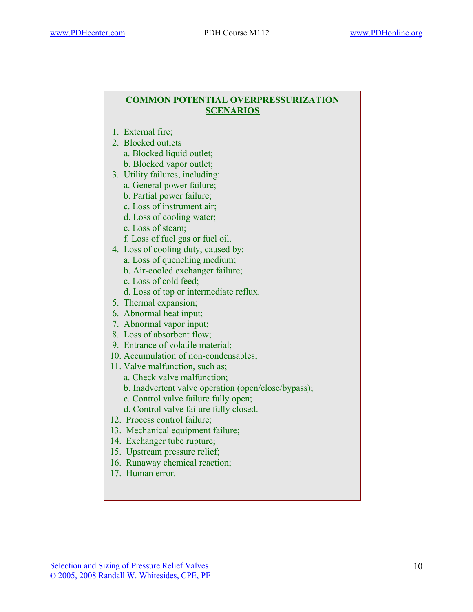#### **COMMON POTENTIAL OVERPRESSURIZATION SCENARIOS**

- 1. External fire;
- 2. Blocked outlets
	- a. Blocked liquid outlet;
	- b. Blocked vapor outlet;
- 3. Utility failures, including:
	- a. General power failure;
	- b. Partial power failure;
	- c. Loss of instrument air;
	- d. Loss of cooling water;
	- e. Loss of steam;
	- f. Loss of fuel gas or fuel oil.
- 4. Loss of cooling duty, caused by:
	- a. Loss of quenching medium;
	- b. Air-cooled exchanger failure;
	- c. Loss of cold feed;
	- d. Loss of top or intermediate reflux.
- 5. Thermal expansion;
- 6. Abnormal heat input;
- 7. Abnormal vapor input;
- 8. Loss of absorbent flow;
- 9. Entrance of volatile material;
- 10. Accumulation of non-condensables;
- 11. Valve malfunction, such as;
	- a. Check valve malfunction;
	- b. Inadvertent valve operation (open/close/bypass);
	- c. Control valve failure fully open;
	- d. Control valve failure fully closed.
- 12. Process control failure;
- 13. Mechanical equipment failure;
- 14. Exchanger tube rupture;
- 15. Upstream pressure relief;
- 16. Runaway chemical reaction;
- 17. Human error.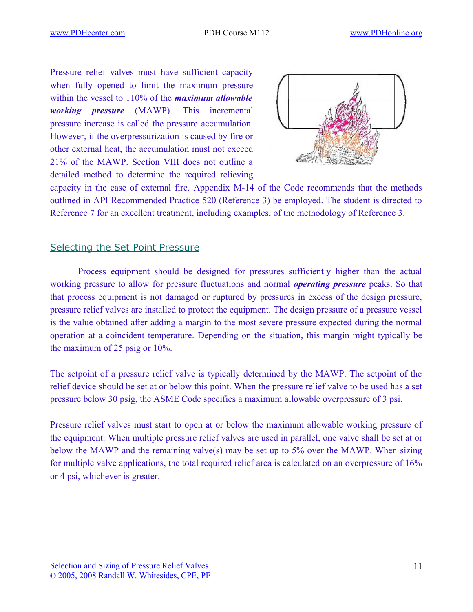Pressure relief valves must have sufficient capacity when fully opened to limit the maximum pressure within the vessel to 110% of the *maximum allowable working pressure* (MAWP). This incremental pressure increase is called the pressure accumulation. However, if the overpressurization is caused by fire or other external heat, the accumulation must not exceed 21% of the MAWP. Section VIII does not outline a detailed method to determine the required relieving



capacity in the case of external fire. Appendix M-14 of the Code recommends that the methods outlined in API Recommended Practice 520 (Reference 3) be employed. The student is directed to Reference 7 for an excellent treatment, including examples, of the methodology of Reference 3.

### Selecting the Set Point Pressure

Process equipment should be designed for pressures sufficiently higher than the actual working pressure to allow for pressure fluctuations and normal *operating pressure* peaks. So that that process equipment is not damaged or ruptured by pressures in excess of the design pressure, pressure relief valves are installed to protect the equipment. The design pressure of a pressure vessel is the value obtained after adding a margin to the most severe pressure expected during the normal operation at a coincident temperature. Depending on the situation, this margin might typically be the maximum of 25 psig or 10%.

The setpoint of a pressure relief valve is typically determined by the MAWP. The setpoint of the relief device should be set at or below this point. When the pressure relief valve to be used has a set pressure below 30 psig, the ASME Code specifies a maximum allowable overpressure of 3 psi.

Pressure relief valves must start to open at or below the maximum allowable working pressure of the equipment. When multiple pressure relief valves are used in parallel, one valve shall be set at or below the MAWP and the remaining valve(s) may be set up to 5% over the MAWP. When sizing for multiple valve applications, the total required relief area is calculated on an overpressure of 16% or 4 psi, whichever is greater.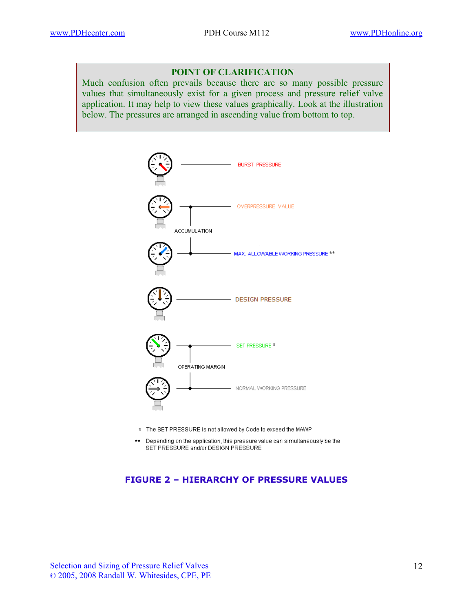#### **POINT OF CLARIFICATION**

Much confusion often prevails because there are so many possible pressure values that simultaneously exist for a given process and pressure relief valve application. It may help to view these values graphically. Look at the illustration below. The pressures are arranged in ascending value from bottom to top.



- \* The SET PRESSURE is not allowed by Code to exceed the MAWP
- $\star\star$ Depending on the application, this pressure value can simultaneously be the SET PRESSURE and/or DESIGN PRESSURE

#### **FIGURE 2 – HIERARCHY OF PRESSURE VALUES**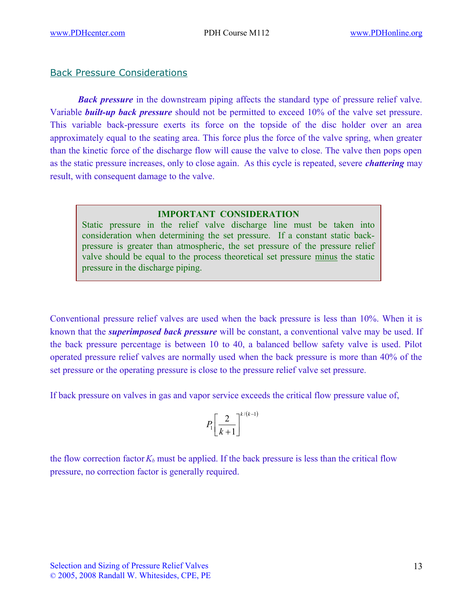## Back Pressure Considerations

*Back pressure* in the downstream piping affects the standard type of pressure relief valve. Variable *built-up back pressure* should not be permitted to exceed 10% of the valve set pressure. This variable back-pressure exerts its force on the topside of the disc holder over an area approximately equal to the seating area. This force plus the force of the valve spring, when greater than the kinetic force of the discharge flow will cause the valve to close. The valve then pops open as the static pressure increases, only to close again. As this cycle is repeated, severe *chattering* may result, with consequent damage to the valve.

#### **IMPORTANT CONSIDERATION**

Static pressure in the relief valve discharge line must be taken into consideration when determining the set pressure. If a constant static backpressure is greater than atmospheric, the set pressure of the pressure relief valve should be equal to the process theoretical set pressure minus the static pressure in the discharge piping.

Conventional pressure relief valves are used when the back pressure is less than 10%. When it is known that the *superimposed back pressure* will be constant, a conventional valve may be used. If the back pressure percentage is between 10 to 40, a balanced bellow safety valve is used. Pilot operated pressure relief valves are normally used when the back pressure is more than 40% of the set pressure or the operating pressure is close to the pressure relief valve set pressure.

If back pressure on valves in gas and vapor service exceeds the critical flow pressure value of,

$$
P_1\left[\frac{2}{k+1}\right]^{k/(k-1)}
$$

the flow correction factor  $K_b$  must be applied. If the back pressure is less than the critical flow pressure, no correction factor is generally required.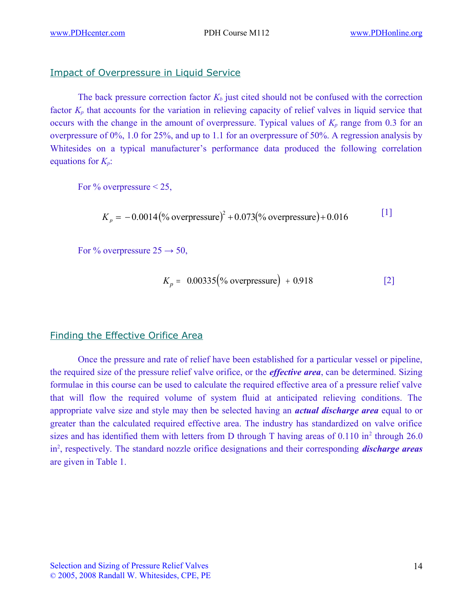## Impact of Overpressure in Liquid Service

The back pressure correction factor  $K_b$  just cited should not be confused with the correction factor  $K_p$  that accounts for the variation in relieving capacity of relief valves in liquid service that occurs with the change in the amount of overpressure. Typical values of  $K_p$  range from 0.3 for an overpressure of 0%, 1.0 for 25%, and up to 1.1 for an overpressure of 50%. A regression analysis by Whitesides on a typical manufacturer's performance data produced the following correlation equations for *Kp*:

For  $\%$  overpressure  $\leq 25$ ,

$$
K_p = -0.0014 \, (\% \, \text{overpressure})^2 + 0.073 \, (\% \, \text{overpressure}) + 0.016 \tag{1}
$$

For % overpressure  $25 \rightarrow 50$ ,

$$
K_p = 0.00335 \, (\%
$$
 overpressure) + 0.918 [2]

## Finding the Effective Orifice Area

Once the pressure and rate of relief have been established for a particular vessel or pipeline, the required size of the pressure relief valve orifice, or the *effective area*, can be determined. Sizing formulae in this course can be used to calculate the required effective area of a pressure relief valve that will flow the required volume of system fluid at anticipated relieving conditions. The appropriate valve size and style may then be selected having an *actual discharge area* equal to or greater than the calculated required effective area. The industry has standardized on valve orifice sizes and has identified them with letters from D through T having areas of  $0.110$  in<sup>2</sup> through 26.0 in<sup>2</sup>, respectively. The standard nozzle orifice designations and their corresponding *discharge areas* are given in Table 1.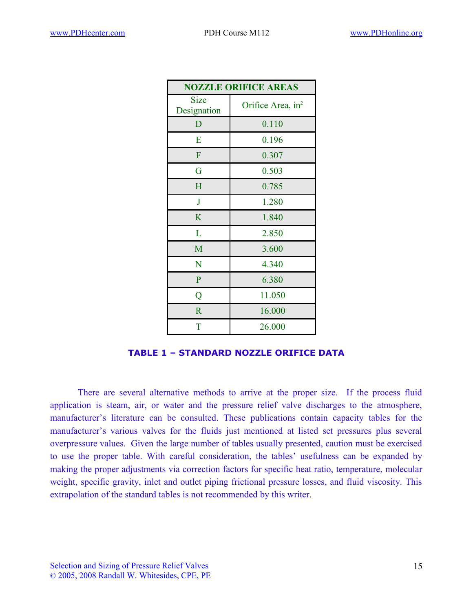| <b>NOZZLE ORIFICE AREAS</b> |                               |  |  |  |  |
|-----------------------------|-------------------------------|--|--|--|--|
| Size<br>Designation         | Orifice Area, in <sup>2</sup> |  |  |  |  |
| D                           | 0.110                         |  |  |  |  |
| E                           | 0.196                         |  |  |  |  |
| F                           | 0.307                         |  |  |  |  |
| G                           | 0.503                         |  |  |  |  |
| H                           | 0.785                         |  |  |  |  |
| $\mathbf{J}$                | 1.280                         |  |  |  |  |
| K                           | 1.840                         |  |  |  |  |
| L                           | 2.850                         |  |  |  |  |
| M                           | 3.600                         |  |  |  |  |
| N                           | 4.340                         |  |  |  |  |
| $\mathbf{P}$                | 6.380                         |  |  |  |  |
| Q                           | 11.050                        |  |  |  |  |
| $\mathbb{R}$                | 16.000                        |  |  |  |  |
| T                           | 26.000                        |  |  |  |  |

#### **TABLE 1 – STANDARD NOZZLE ORIFICE DATA**

There are several alternative methods to arrive at the proper size. If the process fluid application is steam, air, or water and the pressure relief valve discharges to the atmosphere, manufacturer's literature can be consulted. These publications contain capacity tables for the manufacturer's various valves for the fluids just mentioned at listed set pressures plus several overpressure values. Given the large number of tables usually presented, caution must be exercised to use the proper table. With careful consideration, the tables' usefulness can be expanded by making the proper adjustments via correction factors for specific heat ratio, temperature, molecular weight, specific gravity, inlet and outlet piping frictional pressure losses, and fluid viscosity. This extrapolation of the standard tables is not recommended by this writer.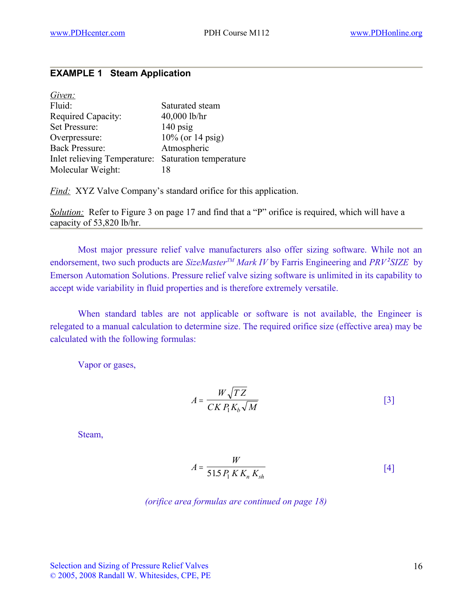### **EXAMPLE 1 Steam Application**

| Given:                                              |                     |
|-----------------------------------------------------|---------------------|
| Fluid:                                              | Saturated steam     |
| Required Capacity:                                  | 40,000 lb/hr        |
| Set Pressure:                                       | $140$ psig          |
| Overpressure:                                       | $10\%$ (or 14 psig) |
| <b>Back Pressure:</b>                               | Atmospheric         |
| Inlet relieving Temperature: Saturation temperature |                     |
| Molecular Weight:                                   | 18                  |

*Find:* XYZ Valve Company's standard orifice for this application.

*Solution:* Refer to Figure 3 on page 17 and find that a "P" orifice is required, which will have a capacity of 53,820 lb/hr.

Most major pressure relief valve manufacturers also offer sizing software. While not an endorsement, two such products are *SizeMasterTM Mark IV* by Farris Engineering and *PRV<sup>2</sup> SIZE* by Emerson Automation Solutions. Pressure relief valve sizing software is unlimited in its capability to accept wide variability in fluid properties and is therefore extremely versatile.

When standard tables are not applicable or software is not available, the Engineer is relegated to a manual calculation to determine size. The required orifice size (effective area) may be calculated with the following formulas:

Vapor or gases,

$$
A = \frac{W\sqrt{TZ}}{CK P_1 K_b \sqrt{M}}
$$
 [3]

Steam,

$$
A = \frac{W}{51.5 P_1 K K_n K_{sh}}
$$

*(orifice area formulas are continued on page 18)*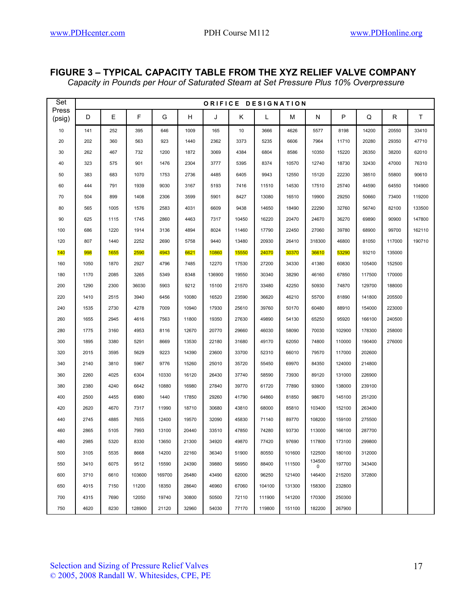### **FIGURE 3 – TYPICAL CAPACITY TABLE FROM THE XYZ RELIEF VALVE COMPANY**

*Capacity in Pounds per Hour of Saturated Steam at Set Pressure Plus 10% Overpressure*

| Set             | ORIFICE DESIGNATION |      |        |        |       |        |       |        |        |             |        |        |        |        |
|-----------------|---------------------|------|--------|--------|-------|--------|-------|--------|--------|-------------|--------|--------|--------|--------|
| Press<br>(psig) | D                   | Ε    | F      | G      | H     | J      | K     | L      | м      | N           | P      | Q      | R      | T.     |
| 10              | 141                 | 252  | 395    | 646    | 1009  | 165    | 10    | 3666   | 4626   | 5577        | 8198   | 14200  | 20550  | 33410  |
| 20              | 202                 | 360  | 563    | 923    | 1440  | 2362   | 3373  | 5235   | 6606   | 7964        | 11710  | 20280  | 29350  | 47710  |
| 30              | 262                 | 467  | 732    | 1200   | 1872  | 3069   | 4384  | 6804   | 8586   | 10350       | 15220  | 26350  | 38200  | 62010  |
| 40              | 323                 | 575  | 901    | 1476   | 2304  | 3777   | 5395  | 8374   | 10570  | 12740       | 18730  | 32430  | 47000  | 76310  |
| 50              | 383                 | 683  | 1070   | 1753   | 2736  | 4485   | 6405  | 9943   | 12550  | 15120       | 22230  | 38510  | 55800  | 90610  |
| 60              | 444                 | 791  | 1939   | 9030   | 3167  | 5193   | 7416  | 11510  | 14530  | 17510       | 25740  | 44590  | 64550  | 104900 |
| 70              | 504                 | 899  | 1408   | 2306   | 3599  | 5901   | 8427  | 13080  | 16510  | 19900       | 29250  | 50660  | 73400  | 119200 |
| 80              | 565                 | 1005 | 1576   | 2583   | 4031  | 6609   | 9438  | 14650  | 18490  | 22290       | 32760  | 56740  | 82100  | 133500 |
| 90              | 625                 | 1115 | 1745   | 2860   | 4463  | 7317   | 10450 | 16220  | 20470  | 24670       | 36270  | 69890  | 90900  | 147800 |
| 100             | 686                 | 1220 | 1914   | 3136   | 4894  | 8024   | 11460 | 17790  | 22450  | 27060       | 39780  | 68900  | 99700  | 162110 |
| 120             | 807                 | 1440 | 2252   | 2690   | 5758  | 9440   | 13480 | 20930  | 26410  | 318300      | 46800  | 81050  | 117000 | 190710 |
| <b>140</b>      | 998                 | 1655 | 2590   | 4943   | 6621  | 10860  | 15550 | 24070  | 30370  | 36610       | 53290  | 93210  | 135000 |        |
| 160             | 1050                | 1870 | 2927   | 4796   | 7485  | 12270  | 17530 | 27200  | 34330  | 41380       | 60830  | 105400 | 152500 |        |
| 180             | 1170                | 2085 | 3265   | 5349   | 8348  | 136900 | 19550 | 30340  | 38290  | 46160       | 67850  | 117500 | 170000 |        |
| 200             | 1290                | 2300 | 36030  | 5903   | 9212  | 15100  | 21570 | 33480  | 42250  | 50930       | 74870  | 129700 | 188000 |        |
| 220             | 1410                | 2515 | 3940   | 6456   | 10080 | 16520  | 23590 | 36620  | 46210  | 55700       | 81890  | 141800 | 205500 |        |
| 240             | 1535                | 2730 | 4278   | 7009   | 10940 | 17930  | 25610 | 39760  | 50170  | 60480       | 88910  | 154000 | 223000 |        |
| 260             | 1655                | 2945 | 4616   | 7563   | 11800 | 19350  | 27630 | 49890  | 54130  | 65250       | 95920  | 166100 | 240500 |        |
| 280             | 1775                | 3160 | 4953   | 8116   | 12670 | 20770  | 29660 | 46030  | 58090  | 70030       | 102900 | 178300 | 258000 |        |
| 300             | 1895                | 3380 | 5291   | 8669   | 13530 | 22180  | 31680 | 49170  | 62050  | 74800       | 110000 | 190400 | 276000 |        |
| 320             | 2015                | 3595 | 5629   | 9223   | 14390 | 23600  | 33700 | 52310  | 66010  | 79570       | 117000 | 202600 |        |        |
| 340             | 2140                | 3810 | 5967   | 9776   | 15260 | 25010  | 35720 | 55450  | 69970  | 84350       | 124000 | 214800 |        |        |
| 360             | 2260                | 4025 | 6304   | 10330  | 16120 | 26430  | 37740 | 58590  | 73930  | 89120       | 131000 | 226900 |        |        |
| 380             | 2380                | 4240 | 6642   | 10880  | 16980 | 27840  | 39770 | 61720  | 77890  | 93900       | 138000 | 239100 |        |        |
| 400             | 2500                | 4455 | 6980   | 1440   | 17850 | 29260  | 41790 | 64860  | 81850  | 98670       | 145100 | 251200 |        |        |
| 420             | 2620                | 4670 | 7317   | 11990  | 18710 | 30680  | 43810 | 68000  | 85810  | 103400      | 152100 | 263400 |        |        |
| 440             | 2745                | 4885 | 7655   | 12400  | 19570 | 32090  | 45830 | 71140  | 89770  | 108200      | 159100 | 275500 |        |        |
| 460             | 2865                | 5105 | 7993   | 13100  | 20440 | 33510  | 47850 | 74280  | 93730  | 113000      | 166100 | 287700 |        |        |
| 480             | 2985                | 5320 | 8330   | 13650  | 21300 | 34920  | 49870 | 77420  | 97690  | 117800      | 173100 | 299800 |        |        |
| 500             | 3105                | 5535 | 8668   | 14200  | 22160 | 36340  | 51900 | 80550  | 101600 | 122500      | 180100 | 312000 |        |        |
| 550             | 3410                | 6075 | 9512   | 15590  | 24390 | 39880  | 56950 | 88400  | 111500 | 134500<br>0 | 197700 | 343400 |        |        |
| 600             | 3710                | 6610 | 103600 | 169700 | 26480 | 43490  | 62000 | 96250  | 121400 | 146400      | 215200 | 372800 |        |        |
| 650             | 4015                | 7150 | 11200  | 18350  | 28640 | 46960  | 67060 | 104100 | 131300 | 158300      | 232800 |        |        |        |
| 700             | 4315                | 7690 | 12050  | 19740  | 30800 | 50500  | 72110 | 111900 | 141200 | 170300      | 250300 |        |        |        |
| 750             | 4620                | 8230 | 128900 | 21120  | 32960 | 54030  | 77170 | 119800 | 151100 | 182200      | 267900 |        |        |        |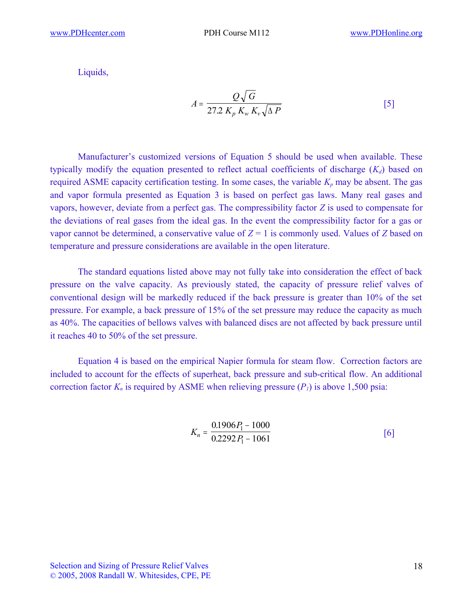Liquids,

$$
A = \frac{Q\sqrt{G}}{27.2\ K_p\ K_w\ K_v\sqrt{\Delta P}}
$$
 [5]

Manufacturer's customized versions of Equation 5 should be used when available. These typically modify the equation presented to reflect actual coefficients of discharge (*Kd*) based on required ASME capacity certification testing. In some cases, the variable  $K_p$  may be absent. The gas and vapor formula presented as Equation 3 is based on perfect gas laws. Many real gases and vapors, however, deviate from a perfect gas. The compressibility factor *Z* is used to compensate for the deviations of real gases from the ideal gas. In the event the compressibility factor for a gas or vapor cannot be determined, a conservative value of  $Z = 1$  is commonly used. Values of *Z* based on temperature and pressure considerations are available in the open literature.

The standard equations listed above may not fully take into consideration the effect of back pressure on the valve capacity. As previously stated, the capacity of pressure relief valves of conventional design will be markedly reduced if the back pressure is greater than 10% of the set pressure. For example, a back pressure of 15% of the set pressure may reduce the capacity as much as 40%. The capacities of bellows valves with balanced discs are not affected by back pressure until it reaches 40 to 50% of the set pressure.

Equation 4 is based on the empirical Napier formula for steam flow. Correction factors are included to account for the effects of superheat, back pressure and sub-critical flow. An additional correction factor  $K_n$  is required by ASME when relieving pressure  $(P_1)$  is above 1,500 psia:

$$
K_n = \frac{0.1906P_1 - 1000}{0.2292P_1 - 1061} \tag{6}
$$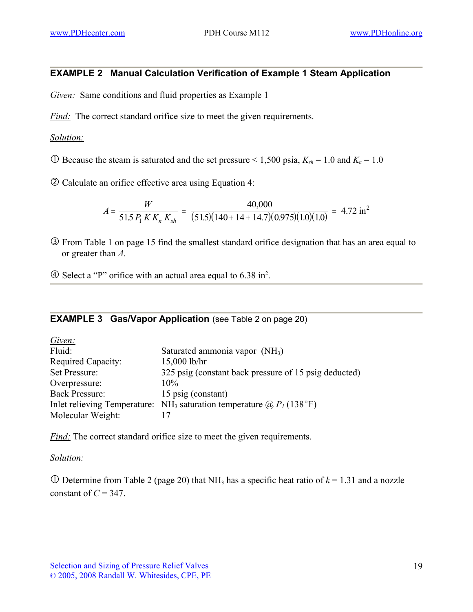## **EXAMPLE 2 Manual Calculation Verification of Example 1 Steam Application**

*Given:* Same conditions and fluid properties as Example 1

*Find:* The correct standard orifice size to meet the given requirements.

#### *Solution:*

 $\odot$  Because the steam is saturated and the set pressure < 1,500 psia,  $K_{sh}$  = 1.0 and  $K_n$  = 1.0

Calculate an orifice effective area using Equation 4:

$$
A = \frac{W}{51.5 P_1 K K_n K_{sh}} = \frac{40,000}{(51.5)(140 + 14 + 14.7)(0.975)(1.0)(1.0)} = 4.72 \text{ in}^2
$$

 From Table 1 on page 15 find the smallest standard orifice designation that has an area equal to or greater than *A.*

Select a "P" orifice with an actual area equal to 6.38 in<sup>2</sup> .

#### **EXAMPLE 3 Gas/Vapor Application** (see Table 2 on page 20)

| Given:                |                                                                                          |
|-----------------------|------------------------------------------------------------------------------------------|
| Fluid:                | Saturated ammonia vapor $(NH_3)$                                                         |
| Required Capacity:    | $15,000$ lb/hr                                                                           |
| Set Pressure:         | 325 psig (constant back pressure of 15 psig deducted)                                    |
| Overpressure:         | $10\%$                                                                                   |
| <b>Back Pressure:</b> | 15 psig (constant)                                                                       |
|                       | Inlet relieving Temperature: NH <sub>3</sub> saturation temperature $\omega P_I$ (138°F) |
| Molecular Weight:     |                                                                                          |

*Find:* The correct standard orifice size to meet the given requirements.

#### *Solution:*

 $\overline{O}$  Determine from Table 2 (page 20) that NH<sub>3</sub> has a specific heat ratio of  $k = 1.31$  and a nozzle constant of  $C = 347$ .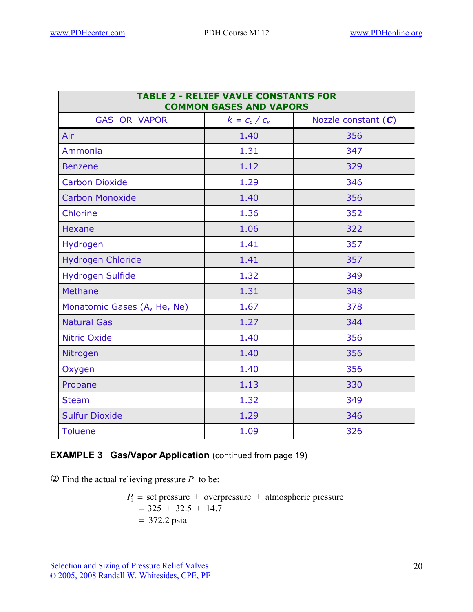| <b>TABLE 2 - RELIEF VAVLE CONSTANTS FOR</b><br><b>COMMON GASES AND VAPORS</b> |                 |                       |  |  |  |
|-------------------------------------------------------------------------------|-----------------|-----------------------|--|--|--|
| <b>GAS OR VAPOR</b>                                                           | $k = c_p / c_v$ | Nozzle constant $(C)$ |  |  |  |
| Air                                                                           | 1.40            | 356                   |  |  |  |
| Ammonia                                                                       | 1.31            | 347                   |  |  |  |
| <b>Benzene</b>                                                                | 1.12            | 329                   |  |  |  |
| <b>Carbon Dioxide</b>                                                         | 1.29            | 346                   |  |  |  |
| <b>Carbon Monoxide</b>                                                        | 1.40            | 356                   |  |  |  |
| Chlorine                                                                      | 1.36            | 352                   |  |  |  |
| <b>Hexane</b>                                                                 | 1.06            | 322                   |  |  |  |
| Hydrogen                                                                      | 1.41            | 357                   |  |  |  |
| <b>Hydrogen Chloride</b>                                                      | 1.41            | 357                   |  |  |  |
| <b>Hydrogen Sulfide</b>                                                       | 1.32            | 349                   |  |  |  |
| <b>Methane</b>                                                                | 1.31            | 348                   |  |  |  |
| Monatomic Gases (A, He, Ne)                                                   | 1.67            | 378                   |  |  |  |
| <b>Natural Gas</b>                                                            | 1.27            | 344                   |  |  |  |
| <b>Nitric Oxide</b>                                                           | 1.40            | 356                   |  |  |  |
| Nitrogen                                                                      | 1.40            | 356                   |  |  |  |
| Oxygen                                                                        | 1.40            | 356                   |  |  |  |
| Propane                                                                       | 1.13            | 330                   |  |  |  |
| <b>Steam</b>                                                                  | 1.32            | 349                   |  |  |  |
| <b>Sulfur Dioxide</b>                                                         | 1.29            | 346                   |  |  |  |
| <b>Toluene</b>                                                                | 1.09            | 326                   |  |  |  |

## **EXAMPLE 3 Gas/Vapor Application** (continued from page 19)

 $\circled{2}$  Find the actual relieving pressure  $P_1$  to be:

 $P_1$  = set pressure + overpressure + atmospheric pressure  $=$  325 + 32.5 + 14.7  $= 372.2$  psia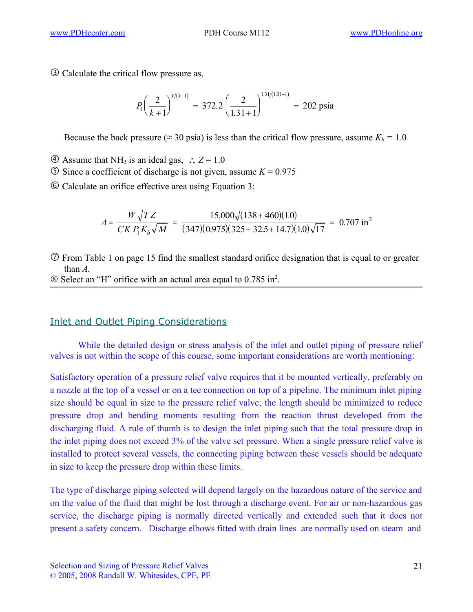Calculate the critical flow pressure as,

$$
P_1\left(\frac{2}{k+1}\right)^{k/(k-1)} = 372.2 \left(\frac{2}{1.31+1}\right)^{1.31/(1.31-1)} = 202 \text{ psia}
$$

Because the back pressure ( $\approx$  30 psia) is less than the critical flow pressure, assume  $K_b = 1.0$ 

- $\textcircled{4}$  Assume that NH<sub>3</sub> is an ideal gas,  $\therefore$  Z = 1.0
- $\circ$  Since a coefficient of discharge is not given, assume *K* = 0.975
- Calculate an orifice effective area using Equation 3:

$$
A = \frac{W\sqrt{TZ}}{CK P_1 K_b \sqrt{M}} = \frac{15,000\sqrt{(138 + 460)(1.0)}}{(347)(0.975)(325 + 32.5 + 14.7)(1.0)\sqrt{17}} = 0.707 \text{ in}^2
$$

 From Table 1 on page 15 find the smallest standard orifice designation that is equal to or greater than *A.*

Select an "H" orifice with an actual area equal to 0.785 in<sup>2</sup> .

## Inlet and Outlet Piping Considerations

While the detailed design or stress analysis of the inlet and outlet piping of pressure relief valves is not within the scope of this course, some important considerations are worth mentioning:

Satisfactory operation of a pressure relief valve requires that it be mounted vertically, preferably on a nozzle at the top of a vessel or on a tee connection on top of a pipeline. The minimum inlet piping size should be equal in size to the pressure relief valve; the length should be minimized to reduce pressure drop and bending moments resulting from the reaction thrust developed from the discharging fluid. A rule of thumb is to design the inlet piping such that the total pressure drop in the inlet piping does not exceed 3% of the valve set pressure. When a single pressure relief valve is installed to protect several vessels, the connecting piping between these vessels should be adequate in size to keep the pressure drop within these limits.

The type of discharge piping selected will depend largely on the hazardous nature of the service and on the value of the fluid that might be lost through a discharge event. For air or non-hazardous gas service, the discharge piping is normally directed vertically and extended such that it does not present a safety concern. Discharge elbows fitted with drain lines are normally used on steam and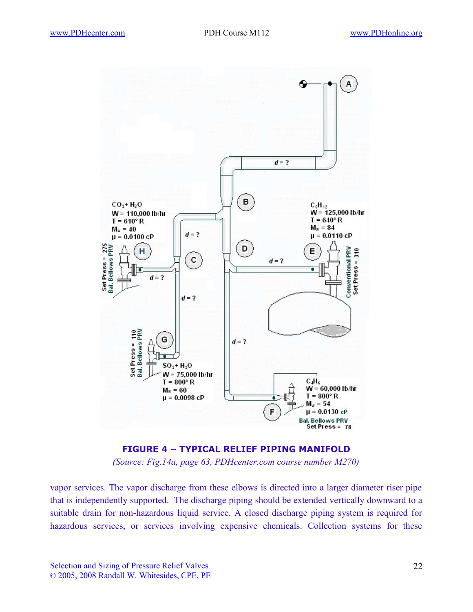



vapor services. The vapor discharge from these elbows is directed into a larger diameter riser pipe that is independently supported. The discharge piping should be extended vertically downward to a suitable drain for non-hazardous liquid service. A closed discharge piping system is required for hazardous services, or services involving expensive chemicals. Collection systems for these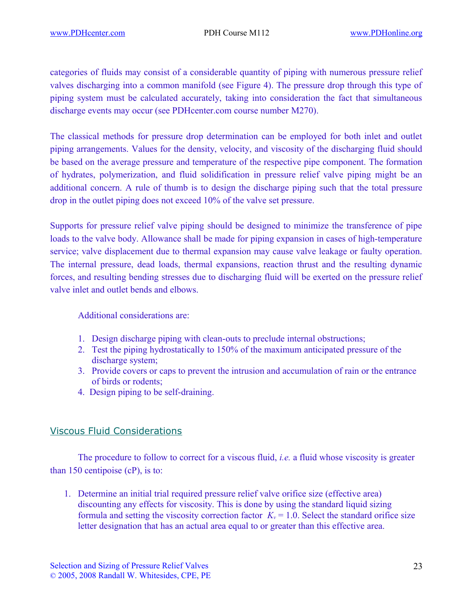categories of fluids may consist of a considerable quantity of piping with numerous pressure relief valves discharging into a common manifold (see Figure 4). The pressure drop through this type of piping system must be calculated accurately, taking into consideration the fact that simultaneous discharge events may occur (see PDHcenter.com course number M270).

The classical methods for pressure drop determination can be employed for both inlet and outlet piping arrangements. Values for the density, velocity, and viscosity of the discharging fluid should be based on the average pressure and temperature of the respective pipe component. The formation of hydrates, polymerization, and fluid solidification in pressure relief valve piping might be an additional concern. A rule of thumb is to design the discharge piping such that the total pressure drop in the outlet piping does not exceed 10% of the valve set pressure.

Supports for pressure relief valve piping should be designed to minimize the transference of pipe loads to the valve body. Allowance shall be made for piping expansion in cases of high-temperature service; valve displacement due to thermal expansion may cause valve leakage or faulty operation. The internal pressure, dead loads, thermal expansions, reaction thrust and the resulting dynamic forces, and resulting bending stresses due to discharging fluid will be exerted on the pressure relief valve inlet and outlet bends and elbows.

Additional considerations are:

- 1. Design discharge piping with clean-outs to preclude internal obstructions;
- 2. Test the piping hydrostatically to 150% of the maximum anticipated pressure of the discharge system;
- 3. Provide covers or caps to prevent the intrusion and accumulation of rain or the entrance of birds or rodents;
- 4. Design piping to be self-draining.

## Viscous Fluid Considerations

The procedure to follow to correct for a viscous fluid, *i.e.* a fluid whose viscosity is greater than 150 centipoise (cP), is to:

1. Determine an initial trial required pressure relief valve orifice size (effective area) discounting any effects for viscosity. This is done by using the standard liquid sizing formula and setting the viscosity correction factor  $K<sub>v</sub> = 1.0$ . Select the standard orifice size letter designation that has an actual area equal to or greater than this effective area.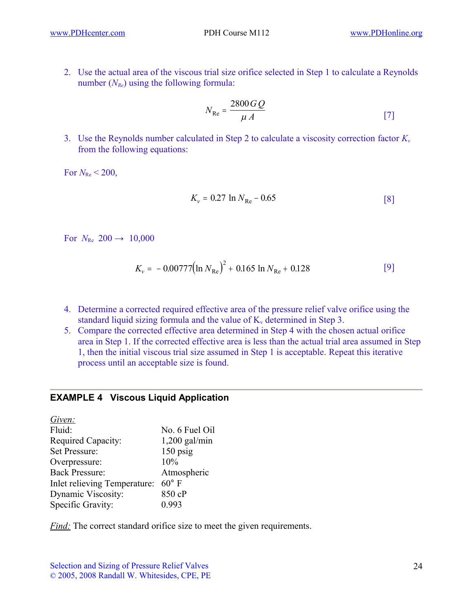2. Use the actual area of the viscous trial size orifice selected in Step 1 to calculate a Reynolds number ( $N_{Re}$ ) using the following formula:

$$
N_{\text{Re}} = \frac{2800 \, G \, Q}{\mu \, A} \tag{7}
$$

3. Use the Reynolds number calculated in Step 2 to calculate a viscosity correction factor *K<sup>v</sup>* from the following equations:

For  $N_{\text{Re}}$  < 200,

$$
K_{\rm v} = 0.27 \ln N_{\rm Re} - 0.65 \tag{8}
$$

For  $N_{\text{Re}}$  200  $\rightarrow$  10,000

$$
K_{\nu} = -0.00777 \left( \ln N_{\text{Re}} \right)^2 + 0.165 \ln N_{\text{Re}} + 0.128 \tag{9}
$$

- 4. Determine a corrected required effective area of the pressure relief valve orifice using the standard liquid sizing formula and the value of  $K_v$  determined in Step 3.
- 5. Compare the corrected effective area determined in Step 4 with the chosen actual orifice area in Step 1. If the corrected effective area is less than the actual trial area assumed in Step 1, then the initial viscous trial size assumed in Step 1 is acceptable. Repeat this iterative process until an acceptable size is found.

#### **EXAMPLE 4 Viscous Liquid Application**

| Given:                       |                 |
|------------------------------|-----------------|
| Fluid:                       | No. 6 Fuel Oil  |
| Required Capacity:           | $1,200$ gal/min |
| Set Pressure:                | $150$ psig      |
| Overpressure:                | 10%             |
| <b>Back Pressure:</b>        | Atmospheric     |
| Inlet relieving Temperature: | $60^{\circ}$ F  |
| Dynamic Viscosity:           | 850 cP          |
| Specific Gravity:            | 0.993           |
|                              |                 |

*Find:* The correct standard orifice size to meet the given requirements.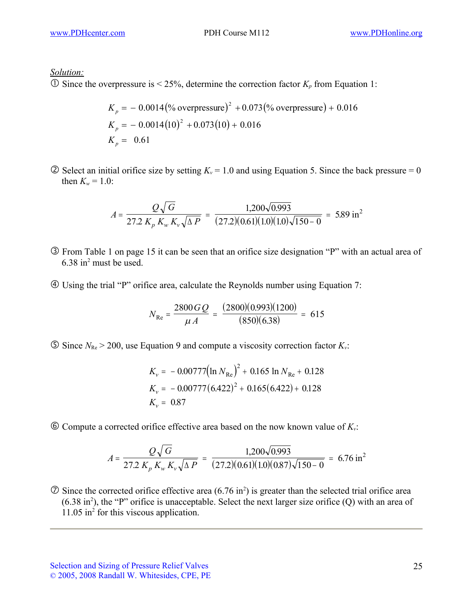*Solution:*

 $\overline{O}$  Since the overpressure is < 25%, determine the correction factor  $K_p$  from Equation 1:

$$
K_p = -0.0014 \left(\% \text{ overpressure}\right)^2 + 0.073 \left(\% \text{ overpressure}\right) + 0.016
$$
  
\n
$$
K_p = -0.0014 \left(10\right)^2 + 0.073 \left(10\right) + 0.016
$$
  
\n
$$
K_p = 0.61
$$

 $\circled{2}$  Select an initial orifice size by setting  $K_v = 1.0$  and using Equation 5. Since the back pressure = 0 then  $K_w = 1.0$ :

$$
A = \frac{Q\sqrt{G}}{27.2 K_p K_w K_v \sqrt{\Delta P}} = \frac{1,200\sqrt{0.993}}{(27.2)(0.61)(1.0)(1.0)\sqrt{150 - 0}} = 5.89 \text{ in}^2
$$

- From Table 1 on page 15 it can be seen that an orifice size designation "P" with an actual area of 6.38 in<sup>2</sup> must be used.
- Using the trial "P" orifice area, calculate the Reynolds number using Equation 7:

$$
N_{\text{Re}} = \frac{2800 \, G \, Q}{\mu \, A} = \frac{(2800)(0.993)(1200)}{(850)(6.38)} = 615
$$

 $\textcircled{S}$  Since  $N_{\text{Re}}$  > 200, use Equation 9 and compute a viscosity correction factor  $K_{\nu}$ :

$$
K_{\nu} = -0.00777 \left( \ln N_{\text{Re}} \right)^{2} + 0.165 \ln N_{\text{Re}} + 0.128
$$
  
\n
$$
K_{\nu} = -0.00777 (6.422)^{2} + 0.165 (6.422) + 0.128
$$
  
\n
$$
K_{\nu} = 0.87
$$

 $\odot$  Compute a corrected orifice effective area based on the now known value of  $K_v$ :

$$
A = \frac{Q\sqrt{G}}{27.2 K_p K_w K_v \sqrt{\Delta P}} = \frac{1,200\sqrt{0.993}}{(27.2)(0.61)(1.0)(0.87)\sqrt{150 - 0}} = 6.76 \text{ in}^2
$$

 $\oslash$  Since the corrected orifice effective area (6.76 in<sup>2</sup>) is greater than the selected trial orifice area  $(6.38 \text{ in}^2)$ , the "P" orifice is unacceptable. Select the next larger size orifice  $(Q)$  with an area of 11.05 in<sup>2</sup> for this viscous application.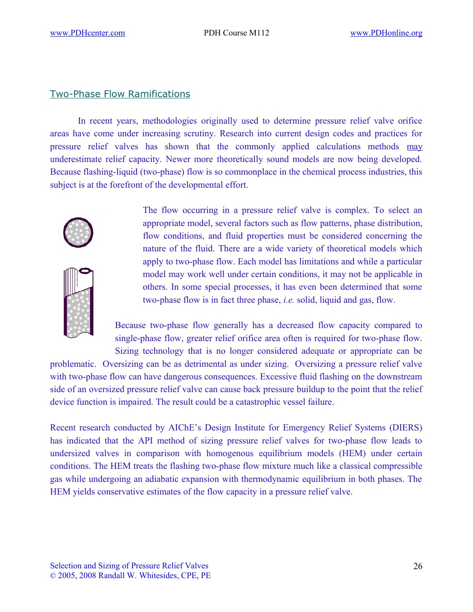### Two-Phase Flow Ramifications

In recent years, methodologies originally used to determine pressure relief valve orifice areas have come under increasing scrutiny. Research into current design codes and practices for pressure relief valves has shown that the commonly applied calculations methods may underestimate relief capacity. Newer more theoretically sound models are now being developed. Because flashing-liquid (two-phase) flow is so commonplace in the chemical process industries, this subject is at the forefront of the developmental effort.



The flow occurring in a pressure relief valve is complex. To select an appropriate model, several factors such as flow patterns, phase distribution, flow conditions, and fluid properties must be considered concerning the nature of the fluid. There are a wide variety of theoretical models which apply to two-phase flow. Each model has limitations and while a particular model may work well under certain conditions, it may not be applicable in others. In some special processes, it has even been determined that some two-phase flow is in fact three phase, *i.e.* solid, liquid and gas, flow.

Because two-phase flow generally has a decreased flow capacity compared to single-phase flow, greater relief orifice area often is required for two-phase flow. Sizing technology that is no longer considered adequate or appropriate can be

problematic. Oversizing can be as detrimental as under sizing. Oversizing a pressure relief valve with two-phase flow can have dangerous consequences. Excessive fluid flashing on the downstream side of an oversized pressure relief valve can cause back pressure buildup to the point that the relief device function is impaired. The result could be a catastrophic vessel failure.

Recent research conducted by AIChE's Design Institute for Emergency Relief Systems (DIERS) has indicated that the API method of sizing pressure relief valves for two-phase flow leads to undersized valves in comparison with homogenous equilibrium models (HEM) under certain conditions. The HEM treats the flashing two-phase flow mixture much like a classical compressible gas while undergoing an adiabatic expansion with thermodynamic equilibrium in both phases. The HEM yields conservative estimates of the flow capacity in a pressure relief valve.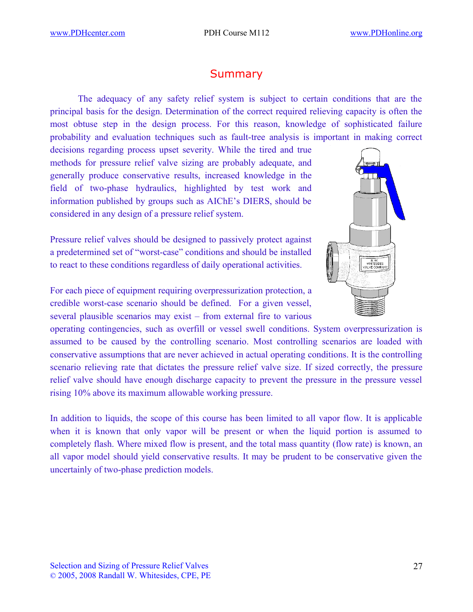## **Summary**

The adequacy of any safety relief system is subject to certain conditions that are the principal basis for the design. Determination of the correct required relieving capacity is often the most obtuse step in the design process. For this reason, knowledge of sophisticated failure probability and evaluation techniques such as fault-tree analysis is important in making correct

decisions regarding process upset severity. While the tired and true methods for pressure relief valve sizing are probably adequate, and generally produce conservative results, increased knowledge in the field of two-phase hydraulics, highlighted by test work and information published by groups such as AIChE's DIERS, should be considered in any design of a pressure relief system.

Pressure relief valves should be designed to passively protect against a predetermined set of "worst-case" conditions and should be installed to react to these conditions regardless of daily operational activities.

For each piece of equipment requiring overpressurization protection, a credible worst-case scenario should be defined. For a given vessel, several plausible scenarios may exist – from external fire to various

operating contingencies, such as overfill or vessel swell conditions. System overpressurization is assumed to be caused by the controlling scenario. Most controlling scenarios are loaded with conservative assumptions that are never achieved in actual operating conditions. It is the controlling scenario relieving rate that dictates the pressure relief valve size. If sized correctly, the pressure relief valve should have enough discharge capacity to prevent the pressure in the pressure vessel rising 10% above its maximum allowable working pressure.

In addition to liquids, the scope of this course has been limited to all vapor flow. It is applicable when it is known that only vapor will be present or when the liquid portion is assumed to completely flash. Where mixed flow is present, and the total mass quantity (flow rate) is known, an all vapor model should yield conservative results. It may be prudent to be conservative given the uncertainly of two-phase prediction models.

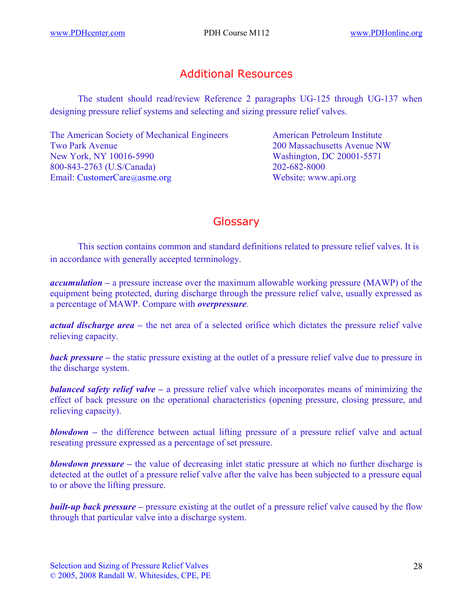## Additional Resources

The student should read/review Reference 2 paragraphs UG-125 through UG-137 when designing pressure relief systems and selecting and sizing pressure relief valves.

The American Society of Mechanical Engineers American Petroleum Institute Two Park Avenue 200 Massachusetts Avenue NW New York, NY 10016-5990 Washington, DC 20001-5571 800-843-2763 (U.S/Canada) 202-682-8000 Email: [CustomerCare](mailto:infocentral@asme.org)@asme.org Website: www.api.org

## **Glossary**

This section contains common and standard definitions related to pressure relief valves. It is in accordance with generally accepted terminology.

*accumulation –* a pressure increase over the maximum allowable working pressure (MAWP) of the equipment being protected, during discharge through the pressure relief valve, usually expressed as a percentage of MAWP. Compare with *overpressure*.

*actual discharge area –* the net area of a selected orifice which dictates the pressure relief valve relieving capacity.

*back pressure –* the static pressure existing at the outlet of a pressure relief valve due to pressure in the discharge system.

*balanced safety relief valve –* a pressure relief valve which incorporates means of minimizing the effect of back pressure on the operational characteristics (opening pressure, closing pressure, and relieving capacity).

*blowdown* – the difference between actual lifting pressure of a pressure relief valve and actual reseating pressure expressed as a percentage of set pressure.

*blowdown pressure* – the value of decreasing inlet static pressure at which no further discharge is detected at the outlet of a pressure relief valve after the valve has been subjected to a pressure equal to or above the lifting pressure.

*built-up back pressure* – pressure existing at the outlet of a pressure relief valve caused by the flow through that particular valve into a discharge system.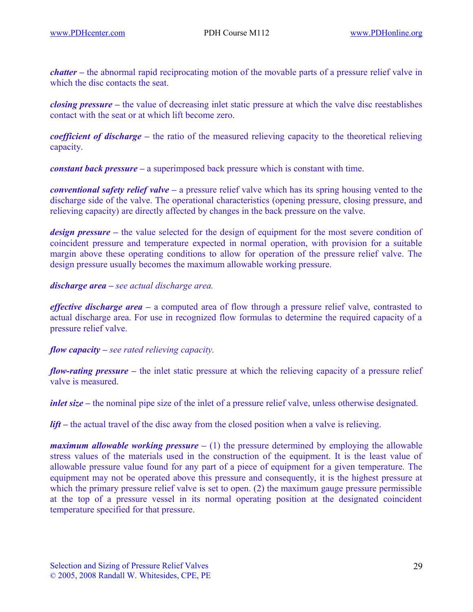*chatter –* the abnormal rapid reciprocating motion of the movable parts of a pressure relief valve in which the disc contacts the seat.

*closing pressure –* the value of decreasing inlet static pressure at which the valve disc reestablishes contact with the seat or at which lift become zero.

*coefficient of discharge –* the ratio of the measured relieving capacity to the theoretical relieving capacity.

*constant back pressure –* a superimposed back pressure which is constant with time.

*conventional safety relief valve –* a pressure relief valve which has its spring housing vented to the discharge side of the valve. The operational characteristics (opening pressure, closing pressure, and relieving capacity) are directly affected by changes in the back pressure on the valve.

*design pressure* – the value selected for the design of equipment for the most severe condition of coincident pressure and temperature expected in normal operation, with provision for a suitable margin above these operating conditions to allow for operation of the pressure relief valve. The design pressure usually becomes the maximum allowable working pressure.

#### *discharge area – see actual discharge area.*

*effective discharge area –* a computed area of flow through a pressure relief valve, contrasted to actual discharge area. For use in recognized flow formulas to determine the required capacity of a pressure relief valve.

#### *flow capacity – see rated relieving capacity.*

*flow-rating pressure* – the inlet static pressure at which the relieving capacity of a pressure relief valve is measured.

*inlet size* – the nominal pipe size of the inlet of a pressure relief valve, unless otherwise designated.

*lift* – the actual travel of the disc away from the closed position when a valve is relieving.

*maximum allowable working pressure*  $- (1)$  the pressure determined by employing the allowable stress values of the materials used in the construction of the equipment. It is the least value of allowable pressure value found for any part of a piece of equipment for a given temperature. The equipment may not be operated above this pressure and consequently, it is the highest pressure at which the primary pressure relief valve is set to open. (2) the maximum gauge pressure permissible at the top of a pressure vessel in its normal operating position at the designated coincident temperature specified for that pressure.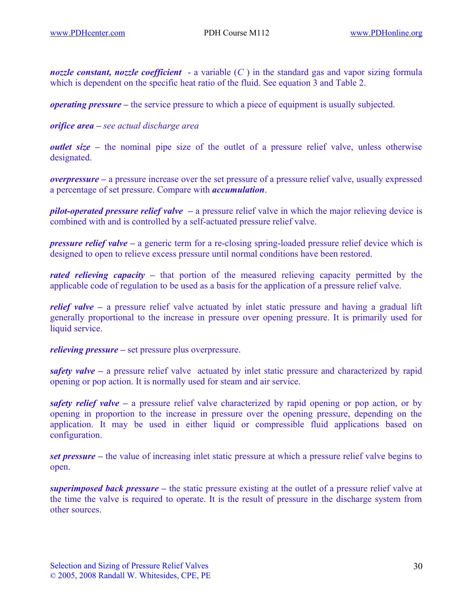*nozzle constant, nozzle coefficient* - a variable (*C* ) in the standard gas and vapor sizing formula which is dependent on the specific heat ratio of the fluid. See equation 3 and Table 2.

*operating pressure –* the service pressure to which a piece of equipment is usually subjected.

*orifice area – see actual discharge area*

*outlet size* – the nominal pipe size of the outlet of a pressure relief valve, unless otherwise designated.

*overpressure –* a pressure increase over the set pressure of a pressure relief valve, usually expressed a percentage of set pressure. Compare with *accumulation*.

*pilot-operated pressure relief valve –* a pressure relief valve in which the major relieving device is combined with and is controlled by a self-actuated pressure relief valve.

*pressure relief valve –* a generic term for a re-closing spring-loaded pressure relief device which is designed to open to relieve excess pressure until normal conditions have been restored.

*rated relieving capacity –* that portion of the measured relieving capacity permitted by the applicable code of regulation to be used as a basis for the application of a pressure relief valve.

*relief valve – a pressure relief valve actuated by inlet static pressure and having a gradual lift* generally proportional to the increase in pressure over opening pressure. It is primarily used for liquid service.

*relieving pressure* – set pressure plus overpressure.

*safety valve –* a pressure relief valve actuated by inlet static pressure and characterized by rapid opening or pop action. It is normally used for steam and air service.

*safety relief valve –* a pressure relief valve characterized by rapid opening or pop action, or by opening in proportion to the increase in pressure over the opening pressure, depending on the application. It may be used in either liquid or compressible fluid applications based on configuration.

*set pressure –* the value of increasing inlet static pressure at which a pressure relief valve begins to open.

*superimposed back pressure –* the static pressure existing at the outlet of a pressure relief valve at the time the valve is required to operate. It is the result of pressure in the discharge system from other sources.